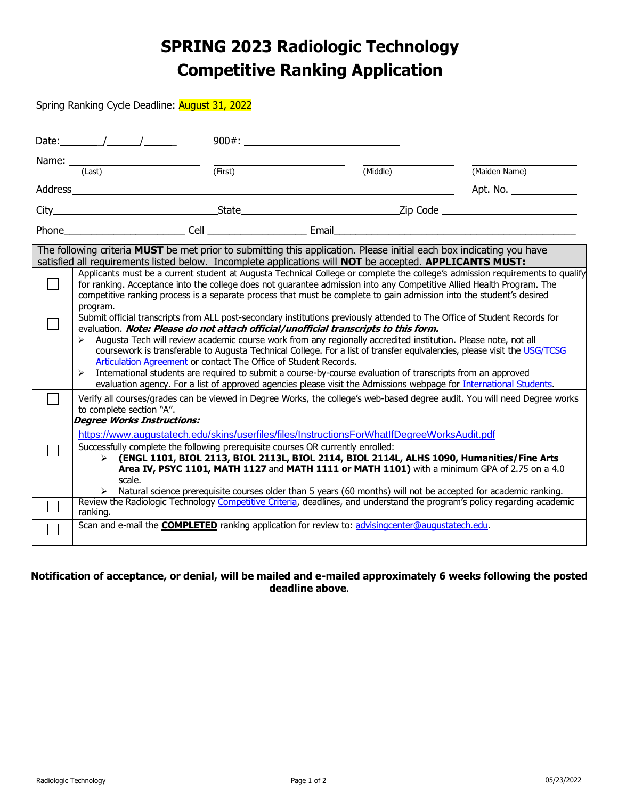## **SPRING 2023 Radiologic Technology Competitive Ranking Application**

Spring Ranking Cycle Deadline: August 31, 2022

| Date: $\frac{1}{\sqrt{2\pi}}$                                                                                                                                                                                                                                                                                                                                                                                                                                                                                                                                                                                                                                                                                                                                                                                                                                                                                                                                                                                                                                                                                                                                                                                                                                                                     | $900#$ :                                                                                                                                                                                                                                                                                                                                               |          |               |  |  |  |
|---------------------------------------------------------------------------------------------------------------------------------------------------------------------------------------------------------------------------------------------------------------------------------------------------------------------------------------------------------------------------------------------------------------------------------------------------------------------------------------------------------------------------------------------------------------------------------------------------------------------------------------------------------------------------------------------------------------------------------------------------------------------------------------------------------------------------------------------------------------------------------------------------------------------------------------------------------------------------------------------------------------------------------------------------------------------------------------------------------------------------------------------------------------------------------------------------------------------------------------------------------------------------------------------------|--------------------------------------------------------------------------------------------------------------------------------------------------------------------------------------------------------------------------------------------------------------------------------------------------------------------------------------------------------|----------|---------------|--|--|--|
| (Last)                                                                                                                                                                                                                                                                                                                                                                                                                                                                                                                                                                                                                                                                                                                                                                                                                                                                                                                                                                                                                                                                                                                                                                                                                                                                                            | (First)                                                                                                                                                                                                                                                                                                                                                | (Middle) | (Maiden Name) |  |  |  |
| Address and the contract of the contract of the contract of the contract of the contract of the contract of the contract of the contract of the contract of the contract of the contract of the contract of the contract of th                                                                                                                                                                                                                                                                                                                                                                                                                                                                                                                                                                                                                                                                                                                                                                                                                                                                                                                                                                                                                                                                    |                                                                                                                                                                                                                                                                                                                                                        |          | Apt. No.      |  |  |  |
|                                                                                                                                                                                                                                                                                                                                                                                                                                                                                                                                                                                                                                                                                                                                                                                                                                                                                                                                                                                                                                                                                                                                                                                                                                                                                                   |                                                                                                                                                                                                                                                                                                                                                        |          |               |  |  |  |
|                                                                                                                                                                                                                                                                                                                                                                                                                                                                                                                                                                                                                                                                                                                                                                                                                                                                                                                                                                                                                                                                                                                                                                                                                                                                                                   | Phone Cell Cell Email                                                                                                                                                                                                                                                                                                                                  |          |               |  |  |  |
| The following criteria <b>MUST</b> be met prior to submitting this application. Please initial each box indicating you have<br>satisfied all requirements listed below. Incomplete applications will NOT be accepted. APPLICANTS MUST:<br>Applicants must be a current student at Augusta Technical College or complete the college's admission requirements to qualify<br>for ranking. Acceptance into the college does not guarantee admission into any Competitive Allied Health Program. The<br>competitive ranking process is a separate process that must be complete to gain admission into the student's desired<br>program.<br>Submit official transcripts from ALL post-secondary institutions previously attended to The Office of Student Records for<br>evaluation. Note: Please do not attach official/unofficial transcripts to this form.<br>> Augusta Tech will review academic course work from any regionally accredited institution. Please note, not all<br>coursework is transferable to Augusta Technical College. For a list of transfer equivalencies, please visit the USG/TCSG<br>Articulation Agreement or contact The Office of Student Records.<br>International students are required to submit a course-by-course evaluation of transcripts from an approved<br>➤ |                                                                                                                                                                                                                                                                                                                                                        |          |               |  |  |  |
| to complete section "A".<br><b>Degree Works Instructions:</b>                                                                                                                                                                                                                                                                                                                                                                                                                                                                                                                                                                                                                                                                                                                                                                                                                                                                                                                                                                                                                                                                                                                                                                                                                                     | evaluation agency. For a list of approved agencies please visit the Admissions webpage for <i>International Students</i> .<br>Verify all courses/grades can be viewed in Degree Works, the college's web-based degree audit. You will need Degree works<br>https://www.augustatech.edu/skins/userfiles/files/InstructionsForWhatIfDegreeWorksAudit.pdf |          |               |  |  |  |
| Successfully complete the following prerequisite courses OR currently enrolled:<br>$\triangleright$ (ENGL 1101, BIOL 2113, BIOL 2113L, BIOL 2114, BIOL 2114L, ALHS 1090, Humanities/Fine Arts<br>Area IV, PSYC 1101, MATH 1127 and MATH 1111 or MATH 1101) with a minimum GPA of 2.75 on a 4.0<br>scale.<br>Natural science prerequisite courses older than 5 years (60 months) will not be accepted for academic ranking.<br>Review the Radiologic Technology Competitive Criteria, deadlines, and understand the program's policy regarding academic                                                                                                                                                                                                                                                                                                                                                                                                                                                                                                                                                                                                                                                                                                                                            |                                                                                                                                                                                                                                                                                                                                                        |          |               |  |  |  |
| ranking.                                                                                                                                                                                                                                                                                                                                                                                                                                                                                                                                                                                                                                                                                                                                                                                                                                                                                                                                                                                                                                                                                                                                                                                                                                                                                          | Scan and e-mail the <b>COMPLETED</b> ranking application for review to: advisingcenter@augustatech.edu.                                                                                                                                                                                                                                                |          |               |  |  |  |

## **Notification of acceptance, or denial, will be mailed and e-mailed approximately 6 weeks following the posted deadline above**.